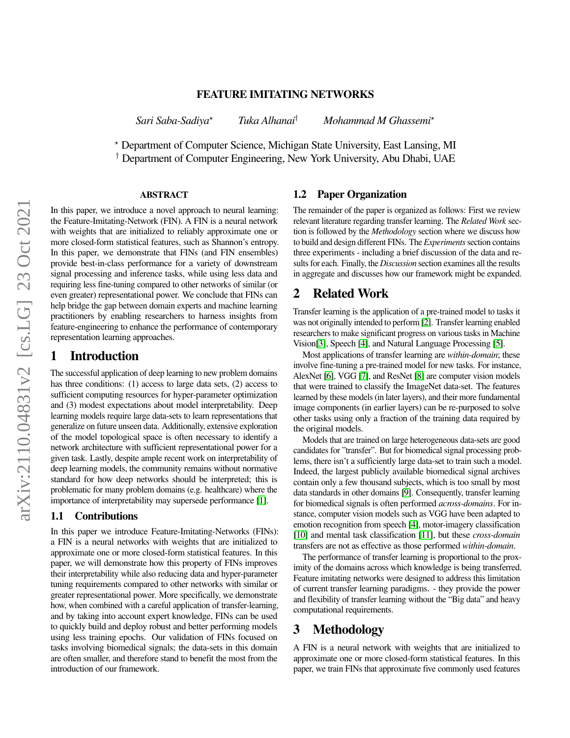### FEATURE IMITATING NETWORKS

*Sari Saba-Sadiya*? *Tuka Alhanai*† *Mohammad M Ghassemi*?

? Department of Computer Science, Michigan State University, East Lansing, MI † Department of Computer Engineering, New York University, Abu Dhabi, UAE

#### **ABSTRACT**

In this paper, we introduce a novel approach to neural learning: the Feature-Imitating-Network (FIN). A FIN is a neural network with weights that are initialized to reliably approximate one or more closed-form statistical features, such as Shannon's entropy. In this paper, we demonstrate that FINs (and FIN ensembles) provide best-in-class performance for a variety of downstream signal processing and inference tasks, while using less data and requiring less fine-tuning compared to other networks of similar (or even greater) representational power. We conclude that FINs can help bridge the gap between domain experts and machine learning practitioners by enabling researchers to harness insights from feature-engineering to enhance the performance of contemporary representation learning approaches.

### 1 Introduction

The successful application of deep learning to new problem domains has three conditions: (1) access to large data sets, (2) access to sufficient computing resources for hyper-parameter optimization and (3) modest expectations about model interpretability. Deep learning models require large data-sets to learn representations that generalize on future unseen data. Additionally, extensive exploration of the model topological space is often necessary to identify a network architecture with sufficient representational power for a given task. Lastly, despite ample recent work on interpretability of deep learning models, the community remains without normative standard for how deep networks should be interpreted; this is problematic for many problem domains (e.g. healthcare) where the importance of interpretability may supersede performance [\[1\]](#page-4-0).

#### 1.1 Contributions

In this paper we introduce Feature-Imitating-Networks (FINs): a FIN is a neural networks with weights that are initialized to approximate one or more closed-form statistical features. In this paper, we will demonstrate how this property of FINs improves their interpretability while also reducing data and hyper-parameter tuning requirements compared to other networks with similar or greater representational power. More specifically, we demonstrate how, when combined with a careful application of transfer-learning, and by taking into account expert knowledge, FINs can be used to quickly build and deploy robust and better performing models using less training epochs. Our validation of FINs focused on tasks involving biomedical signals; the data-sets in this domain are often smaller, and therefore stand to benefit the most from the introduction of our framework.

#### 1.2 Paper Organization

The remainder of the paper is organized as follows: First we review relevant literature regarding transfer learning. The *Related Work* section is followed by the *Methodology* section where we discuss how to build and design different FINs. The *Experiments*section contains three experiments - including a brief discussion of the data and results for each. Finally, the *Discussion* section examines all the results in aggregate and discusses how our framework might be expanded.

## 2 Related Work

Transfer learning is the application of a pre-trained model to tasks it was not originally intended to perform [\[2\]](#page-4-1). Transfer learning enabled researchers to make significant progress on various tasks in Machine Vision[\[3\]](#page-4-2), Speech [\[4\]](#page-4-3), and Natural Language Processing [\[5\]](#page-4-4).

Most applications of transfer learning are *within-domain*; these involve fine-tuning a pre-trained model for new tasks. For instance, AlexNet [\[6\]](#page-4-5), VGG [\[7\]](#page-4-6), and ResNet [\[8\]](#page-4-7) are computer vision models that were trained to classify the ImageNet data-set. The features learned by these models (in later layers), and their more fundamental image components (in earlier layers) can be re-purposed to solve other tasks using only a fraction of the training data required by the original models.

Models that are trained on large heterogeneous data-sets are good candidates for "transfer". But for biomedical signal processing problems, there isn't a sufficiently large data-set to train such a model. Indeed, the largest publicly available biomedical signal archives contain only a few thousand subjects, which is too small by most data standards in other domains [\[9\]](#page-4-8). Consequently, transfer learning for biomedical signals is often performed *across-domains*. For instance, computer vision models such as VGG have been adapted to emotion recognition from speech [\[4\]](#page-4-3), motor-imagery classification [\[10\]](#page-4-9) and mental task classification [\[11\]](#page-4-10), but these *cross-domain* transfers are not as effective as those performed *within-domain*.

The performance of transfer learning is proportional to the proximity of the domains across which knowledge is being transferred. Feature imitating networks were designed to address this limitation of current transfer learning paradigms. - they provide the power and flexibility of transfer learning without the "Big data" and heavy computational requirements.

# 3 Methodology

A FIN is a neural network with weights that are initialized to approximate one or more closed-form statistical features. In this paper, we train FINs that approximate five commonly used features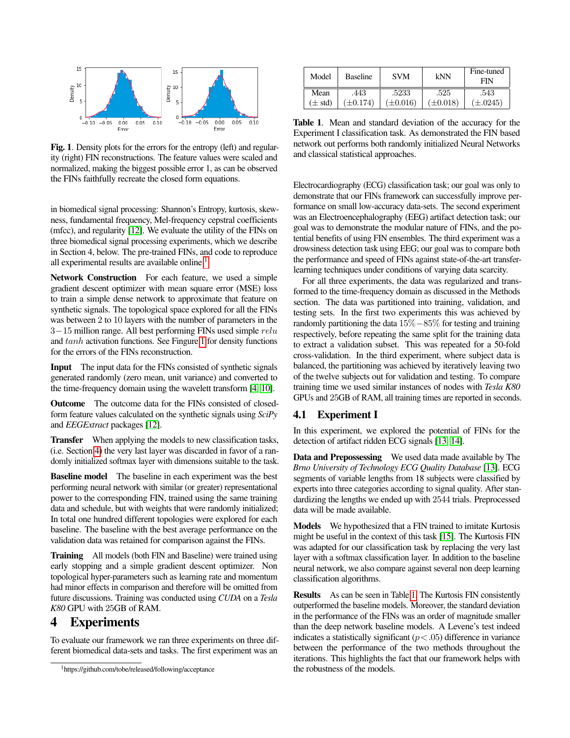

<span id="page-1-1"></span>Fig. 1. Density plots for the errors for the entropy (left) and regularity (right) FIN reconstructions. The feature values were scaled and normalized, making the biggest possible error 1, as can be observed the FINs faithfully recreate the closed form equations.

in biomedical signal processing: Shannon's Entropy, kurtosis, skewness, fundamental frequency, Mel-frequency cepstral coefficients (mfcc), and regularity [\[12\]](#page-4-11). We evaluate the utility of the FINs on three biomedical signal processing experiments, which we describe in Section 4, below. The pre-trained FINs, and code to reproduce all experimental results are available online <sup>[1](#page-1-0)</sup>.

Network Construction For each feature, we used a simple gradient descent optimizer with mean square error (MSE) loss to train a simple dense network to approximate that feature on synthetic signals. The topological space explored for all the FINs was between 2 to 10 layers with the number of parameters in the 3−15 million range. All best performing FINs used simple relu and tanh activation functions. See Fingure [1](#page-1-1) for density functions for the errors of the FINs reconstruction.

Input The input data for the FINs consisted of synthetic signals generated randomly (zero mean, unit variance) and converted to the time-frequency domain using the wavelett transform [\[4,](#page-4-3) [10\]](#page-4-9).

Outcome The outcome data for the FINs consisted of closedform feature values calculated on the synthetic signals using *SciPy* and *EEGExtract* packages [\[12\]](#page-4-11).

Transfer When applying the models to new classification tasks, (i.e. Section [4\)](#page-1-2) the very last layer was discarded in favor of a randomly initialized softmax layer with dimensions suitable to the task.

Baseline model The baseline in each experiment was the best performing neural network with similar (or greater) representational power to the corresponding FIN, trained using the same training data and schedule, but with weights that were randomly initialized; In total one hundred different topologies were explored for each baseline. The baseline with the best average performance on the validation data was retained for comparison against the FINs.

Training All models (both FIN and Baseline) were trained using early stopping and a simple gradient descent optimizer. Non topological hyper-parameters such as learning rate and momentum had minor effects in comparison and therefore will be omitted from future discussions. Training was conducted using *CUDA* on a *Tesla K80* GPU with 25GB of RAM.

# <span id="page-1-2"></span>4 Experiments

To evaluate our framework we ran three experiments on three different biomedical data-sets and tasks. The first experiment was an

| Model               | <b>Baseline</b> | <b>SVM</b>  | kNN         | Fine-tuned<br>FIN |
|---------------------|-----------------|-------------|-------------|-------------------|
| Mean                | .443            | .5233       | .525        | .543              |
| $(\pm \text{ std})$ | $+0.174$        | $\pm 0.016$ | $\pm 0.018$ | $(+.0245)$        |

<span id="page-1-3"></span>Table 1. Mean and standard deviation of the accuracy for the Experiment I classification task. As demonstrated the FIN based network out performs both randomly initialized Neural Networks and classical statistical approaches.

Electrocardiography (ECG) classification task; our goal was only to demonstrate that our FINs framework can successfully improve performance on small low-accuracy data-sets. The second experiment was an Electroencephalography (EEG) artifact detection task; our goal was to demonstrate the modular nature of FINs, and the potential benefits of using FIN ensembles. The third experiment was a drowsiness detection task using EEG; our goal was to compare both the performance and speed of FINs against state-of-the-art transferlearning techniques under conditions of varying data scarcity.

For all three experiments, the data was regularized and transformed to the time-frequency domain as discussed in the Methods section. The data was partitioned into training, validation, and testing sets. In the first two experiments this was achieved by randomly partitioning the data 15%−85% for testing and training respectively, before repeating the same split for the training data to extract a validation subset. This was repeated for a 50-fold cross-validation. In the third experiment, where subject data is balanced, the partitioning was achieved by iteratively leaving two of the twelve subjects out for validation and testing. To compare training time we used similar instances of nodes with *Tesla K80* GPUs and 25GB of RAM, all training times are reported in seconds.

### 4.1 Experiment I

In this experiment, we explored the potential of FINs for the detection of artifact ridden ECG signals [\[13,](#page-4-12) [14\]](#page-4-13).

Data and Prepossessing We used data made available by The *Brno University of Technology ECG Quality Database* [\[13\]](#page-4-12). ECG segments of variable lengths from 18 subjects were classified by experts into three categories according to signal quality. After standardizing the lengths we ended up with 2544 trials. Preprocessed data will be made available.

Models We hypothesized that a FIN trained to imitate Kurtosis might be useful in the context of this task [\[15\]](#page-4-14). The Kurtosis FIN was adapted for our classification task by replacing the very last layer with a softmax classification layer. In addition to the baseline neural network, we also compare against several non deep learning classification algorithms.

Results As can be seen in Table [1,](#page-1-3) The Kurtosis FIN consistently outperformed the baseline models. Moreover, the standard deviation in the performance of the FINs was an order of magnitude smaller than the deep network baseline models. A Levene's test indeed indicates a statistically significant  $(p < .05)$  difference in variance between the performance of the two methods throughout the iterations. This highlights the fact that our framework helps with the robustness of the models.

<span id="page-1-0"></span><sup>1</sup>https://github.com/tobe/released/following/acceptance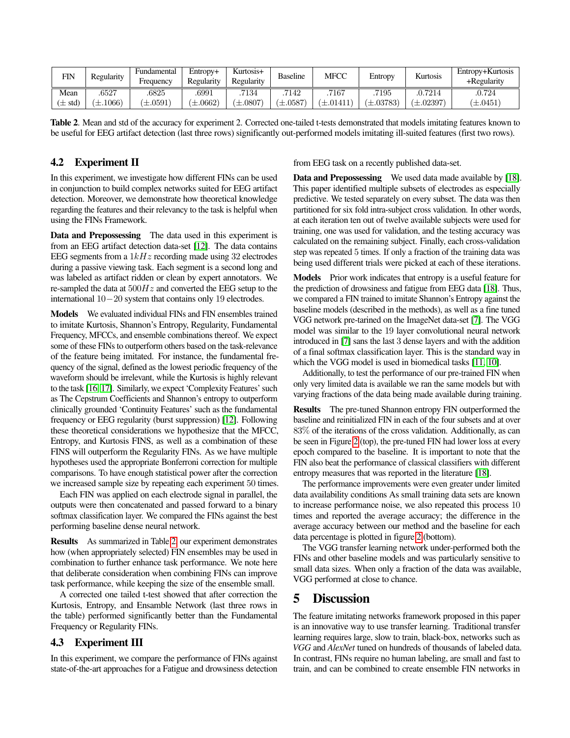| <b>FIN</b>          | Regularity | Fundamental<br>Frequency | Entropy+<br>Regularity | Kurtosis+<br>Regularity | <b>Baseline</b> | <b>MFCC</b>  | Entropy      | Kurtosis             | Entropy+Kurtosis<br>+Regularity |
|---------------------|------------|--------------------------|------------------------|-------------------------|-----------------|--------------|--------------|----------------------|---------------------------------|
| Mean                | .6527      | .6825                    | .6991                  | 7134                    | .7142           | 7167         | 7195         | .0.7214              | .0.724                          |
| $(\pm \text{ std})$ | $-.1066)$  | $\pm .0591$              | $\pm .0662$            | $\pm .0807$             | $\pm .0587$     | $\pm .01411$ | $\pm .03783$ | $^{\prime}\pm.02397$ | $^{\prime}\pm.0451$             |

<span id="page-2-0"></span>Table 2. Mean and std of the accuracy for experiment 2. Corrected one-tailed t-tests demonstrated that models imitating features known to be useful for EEG artifact detection (last three rows) significantly out-performed models imitating ill-suited features (first two rows).

## 4.2 Experiment II

In this experiment, we investigate how different FINs can be used in conjunction to build complex networks suited for EEG artifact detection. Moreover, we demonstrate how theoretical knowledge regarding the features and their relevancy to the task is helpful when using the FINs Framework.

Data and Prepossessing The data used in this experiment is from an EEG artifact detection data-set [\[12\]](#page-4-11). The data contains EEG segments from a  $1kHz$  recording made using 32 electrodes during a passive viewing task. Each segment is a second long and was labeled as artifact ridden or clean by expert annotators. We re-sampled the data at  $500Hz$  and converted the EEG setup to the international 10−20 system that contains only 19 electrodes.

Models We evaluated individual FINs and FIN ensembles trained to imitate Kurtosis, Shannon's Entropy, Regularity, Fundamental Frequency, MFCCs, and ensemble combinations thereof. We expect some of these FINs to outperform others based on the task-relevance of the feature being imitated. For instance, the fundamental frequency of the signal, defined as the lowest periodic frequency of the waveform should be irrelevant, while the Kurtosis is highly relevant to the task [\[16,](#page-4-15) [17\]](#page-4-16). Similarly, we expect 'Complexity Features' such as The Cepstrum Coefficients and Shannon's entropy to outperform clinically grounded 'Continuity Features' such as the fundamental frequency or EEG regularity (burst suppression) [\[12\]](#page-4-11). Following these theoretical considerations we hypothesize that the MFCC, Entropy, and Kurtosis FINS, as well as a combination of these FINS will outperform the Regularity FINs. As we have multiple hypotheses used the appropriate Bonferroni correction for multiple comparisons. To have enough statistical power after the correction we increased sample size by repeating each experiment 50 times.

Each FIN was applied on each electrode signal in parallel, the outputs were then concatenated and passed forward to a binary softmax classification layer. We compared the FINs against the best performing baseline dense neural network.

Results As summarized in Table [2,](#page-2-0) our experiment demonstrates how (when appropriately selected) FIN ensembles may be used in combination to further enhance task performance. We note here that deliberate consideration when combining FINs can improve task performance, while keeping the size of the ensemble small.

A corrected one tailed t-test showed that after correction the Kurtosis, Entropy, and Ensamble Network (last three rows in the table) performed significantly better than the Fundamental Frequency or Regularity FINs.

### 4.3 Experiment III

In this experiment, we compare the performance of FINs against state-of-the-art approaches for a Fatigue and drowsiness detection from EEG task on a recently published data-set.

Data and Prepossessing We used data made available by [\[18\]](#page-4-17). This paper identified multiple subsets of electrodes as especially predictive. We tested separately on every subset. The data was then partitioned for six fold intra-subject cross validation. In other words, at each iteration ten out of twelve available subjects were used for training, one was used for validation, and the testing accuracy was calculated on the remaining subject. Finally, each cross-validation step was repeated 5 times. If only a fraction of the training data was being used different trials were picked at each of these iterations.

Models Prior work indicates that entropy is a useful feature for the prediction of drowsiness and fatigue from EEG data [\[18\]](#page-4-17). Thus, we compared a FIN trained to imitate Shannon's Entropy against the baseline models (described in the methods), as well as a fine tuned VGG network pre-tarined on the ImageNet data-set [\[7\]](#page-4-6). The VGG model was similar to the 19 layer convolutional neural network introduced in [\[7\]](#page-4-6) sans the last 3 dense layers and with the addition of a final softmax classification layer. This is the standard way in which the VGG model is used in biomedical tasks [\[11,](#page-4-10) [10\]](#page-4-9).

Additionally, to test the performance of our pre-trained FIN when only very limited data is available we ran the same models but with varying fractions of the data being made available during training.

Results The pre-tuned Shannon entropy FIN outperformed the baseline and reinitialized FIN in each of the four subsets and at over 83% of the iterations of the cross validation. Additionally, as can be seen in Figure [2](#page-3-0) (top), the pre-tuned FIN had lower loss at every epoch compared to the baseline. It is important to note that the FIN also beat the performance of classical classifiers with different entropy measures that was reported in the literature [\[18\]](#page-4-17).

The performance improvements were even greater under limited data availability conditions As small training data sets are known to increase performance noise, we also repeated this process 10 times and reported the average accuracy; the difference in the average accuracy between our method and the baseline for each data percentage is plotted in figure [2](#page-3-0) (bottom).

The VGG transfer learning network under-performed both the FINs and other baseline models and was particularly sensitive to small data sizes. When only a fraction of the data was available, VGG performed at close to chance.

## 5 Discussion

The feature imitating networks framework proposed in this paper is an innovative way to use transfer learning. Traditional transfer learning requires large, slow to train, black-box, networks such as *VGG* and *AlexNet* tuned on hundreds of thousands of labeled data. In contrast, FINs require no human labeling, are small and fast to train, and can be combined to create ensemble FIN networks in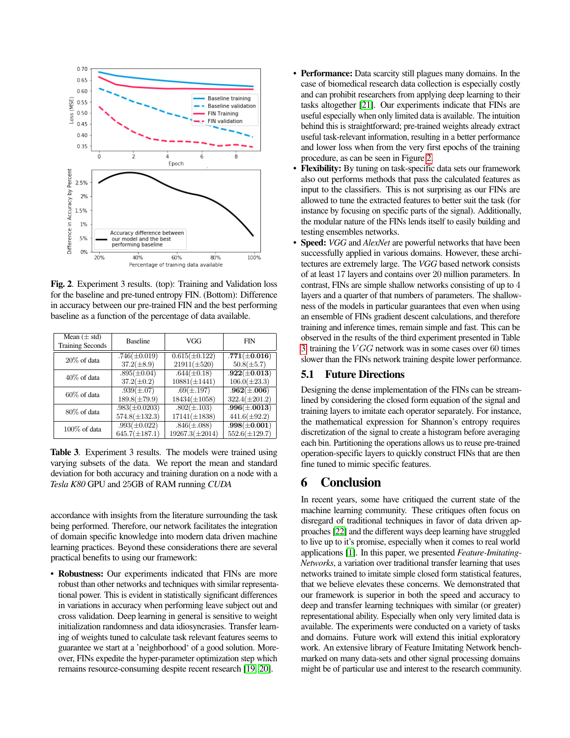

<span id="page-3-0"></span>Fig. 2. Experiment 3 results. (top): Training and Validation loss for the baseline and pre-tuned entropy FIN. (Bottom): Difference in accuracy between our pre-trained FIN and the best performing baseline as a function of the percentage of data available.

| Mean $(\pm \text{ std})$<br><b>Training Seconds</b> | <b>Baseline</b>    | VGG                 | <b>FIN</b>         |  |
|-----------------------------------------------------|--------------------|---------------------|--------------------|--|
| $20\%$ of data                                      | $.746(\pm 0.019)$  | $0.615(\pm 0.122)$  | $.771(\pm 0.016)$  |  |
|                                                     | $37.2(\pm 8.9)$    | $21911(\pm 520)$    | $50.8(\pm 5.7)$    |  |
| $40\%$ of data                                      | $.895(\pm 0.04)$   | $.644(\pm0.18)$     | $.922(\pm 0.013)$  |  |
|                                                     | $37.2(\pm 0.2)$    | $10881(\pm 1441)$   | $106.0(\pm 23.3)$  |  |
| $60\%$ of data                                      | $.939(\pm.07)$     | $.69(\pm.197)$      | $.962(\pm.006)$    |  |
|                                                     | $189.8(\pm 79.9)$  | $18434(\pm 1058)$   | $322.4(\pm 201.2)$ |  |
| 80% of data                                         | $.983(\pm 0.0203)$ | $.802(\pm.103)$     | $.996(\pm .0013)$  |  |
|                                                     | $574.8(\pm 132.3)$ | $17141(\pm 1838)$   | $441.6(\pm 92.2)$  |  |
| $100\%$ of data                                     | $.993(\pm 0.022)$  | $.846(\pm.088)$     | $.998(\pm 0.001)$  |  |
|                                                     | $645.7(\pm 187.1)$ | $19267.3(\pm 2014)$ | $552.6(\pm 129.7)$ |  |

<span id="page-3-1"></span>Table 3. Experiment 3 results. The models were trained using varying subsets of the data. We report the mean and standard deviation for both accuracy and training duration on a node with a *Tesla K80* GPU and 25GB of RAM running *CUDA*

accordance with insights from the literature surrounding the task being performed. Therefore, our network facilitates the integration of domain specific knowledge into modern data driven machine learning practices. Beyond these considerations there are several practical benefits to using our framework:

• Robustness: Our experiments indicated that FINs are more robust than other networks and techniques with similar representational power. This is evident in statistically significant differences in variations in accuracy when performing leave subject out and cross validation. Deep learning in general is sensitive to weight initialization randomness and data idiosyncrasies. Transfer learning of weights tuned to calculate task relevant features seems to guarantee we start at a 'neighborhood' of a good solution. Moreover, FINs expedite the hyper-parameter optimization step which remains resource-consuming despite recent research [\[19,](#page-4-18) [20\]](#page-4-19).

- Performance: Data scarcity still plagues many domains. In the case of biomedical research data collection is especially costly and can prohibit researchers from applying deep learning to their tasks altogether [\[21\]](#page-4-20). Our experiments indicate that FINs are useful especially when only limited data is available. The intuition behind this is straightforward; pre-trained weights already extract useful task-relevant information, resulting in a better performance and lower loss when from the very first epochs of the training procedure, as can be seen in Figure [2.](#page-3-0)
- Flexibility: By tuning on task-specific data sets our framework also out performs methods that pass the calculated features as input to the classifiers. This is not surprising as our FINs are allowed to tune the extracted features to better suit the task (for instance by focusing on specific parts of the signal). Additionally, the modular nature of the FINs lends itself to easily building and testing ensembles networks.
- **Speed:** *VGG* and *AlexNet* are powerful networks that have been successfully applied in various domains. However, these architectures are extremely large. The *VGG* based network consists of at least 17 layers and contains over 20 million parameters. In contrast, FINs are simple shallow networks consisting of up to 4 layers and a quarter of that numbers of parameters. The shallowness of the models in particular guarantees that even when using an ensemble of FINs gradient descent calculations, and therefore training and inference times, remain simple and fast. This can be observed in the results of the third experiment presented in Table [3,](#page-3-1) training the  $VGG$  network was in some cases over 60 times slower than the FINs network training despite lower performance.

### 5.1 Future Directions

Designing the dense implementation of the FINs can be streamlined by considering the closed form equation of the signal and training layers to imitate each operator separately. For instance, the mathematical expression for Shannon's entropy requires discretization of the signal to create a histogram before averaging each bin. Partitioning the operations allows us to reuse pre-trained operation-specific layers to quickly construct FINs that are then fine tuned to mimic specific features.

# 6 Conclusion

In recent years, some have critiqued the current state of the machine learning community. These critiques often focus on disregard of traditional techniques in favor of data driven approaches [\[22\]](#page-4-21) and the different ways deep learning have struggled to live up to it's promise, especially when it comes to real world applications [\[1\]](#page-4-0). In this paper, we presented *Feature-Imitating-Networks*, a variation over traditional transfer learning that uses networks trained to imitate simple closed form statistical features, that we believe elevates these concerns. We demonstrated that our framework is superior in both the speed and accuracy to deep and transfer learning techniques with similar (or greater) representational ability. Especially when only very limited data is available. The experiments were conducted on a variety of tasks and domains. Future work will extend this initial exploratory work. An extensive library of Feature Imitating Network benchmarked on many data-sets and other signal processing domains might be of particular use and interest to the research community.